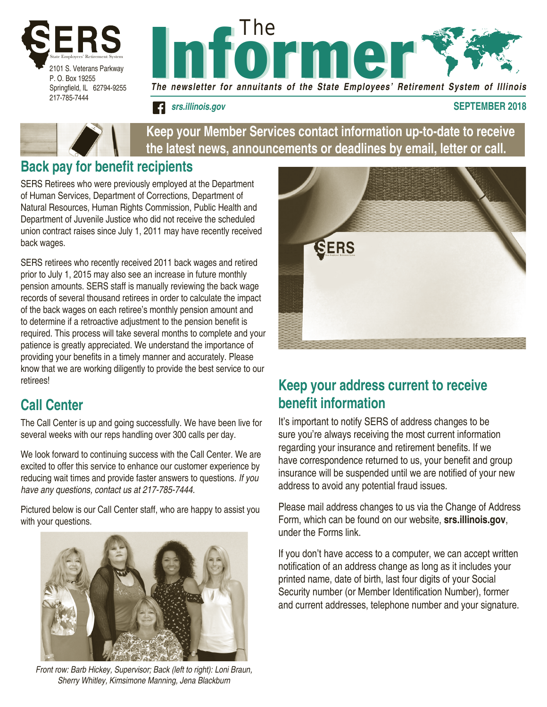





**Keep your Member Services contact information up-to-date to receive the latest news, announcements or deadlines by email, letter or call.**

## **Back pay for benefit recipients**

SERS Retirees who were previously employed at the Department of Human Services, Department of Corrections, Department of Natural Resources, Human Rights Commission, Public Health and Department of Juvenile Justice who did not receive the scheduled union contract raises since July 1, 2011 may have recently received back wages.

SERS retirees who recently received 2011 back wages and retired prior to July 1, 2015 may also see an increase in future monthly pension amounts. SERS staff is manually reviewing the back wage records of several thousand retirees in order to calculate the impact of the back wages on each retiree's monthly pension amount and to determine if a retroactive adjustment to the pension benefit is required. This process will take several months to complete and your patience is greatly appreciated. We understand the importance of providing your benefits in a timely manner and accurately. Please know that we are working diligently to provide the best service to our retirees!

# **Call Center**

The Call Center is up and going successfully. We have been live for several weeks with our reps handling over 300 calls per day.

We look forward to continuing success with the Call Center. We are excited to offer this service to enhance our customer experience by reducing wait times and provide faster answers to questions. *If you have any questions, contact us at 217-785-7444.*

Pictured below is our Call Center staff, who are happy to assist you with your questions.



*Front row: Barb Hickey, Supervisor; Back (left to right): Loni Braun, Sherry Whitley, Kimsimone Manning, Jena Blackburn*



# **Keep your address current to receive benefit information**

It's important to notify SERS of address changes to be sure you're always receiving the most current information regarding your insurance and retirement benefits. If we have correspondence returned to us, your benefit and group insurance will be suspended until we are notified of your new address to avoid any potential fraud issues.

Please mail address changes to us via the Change of Address Form, which can be found on our website, **srs.illinois.gov**, under the Forms link.

If you don't have access to a computer, we can accept written notification of an address change as long as it includes your printed name, date of birth, last four digits of your Social Security number (or Member Identification Number), former and current addresses, telephone number and your signature.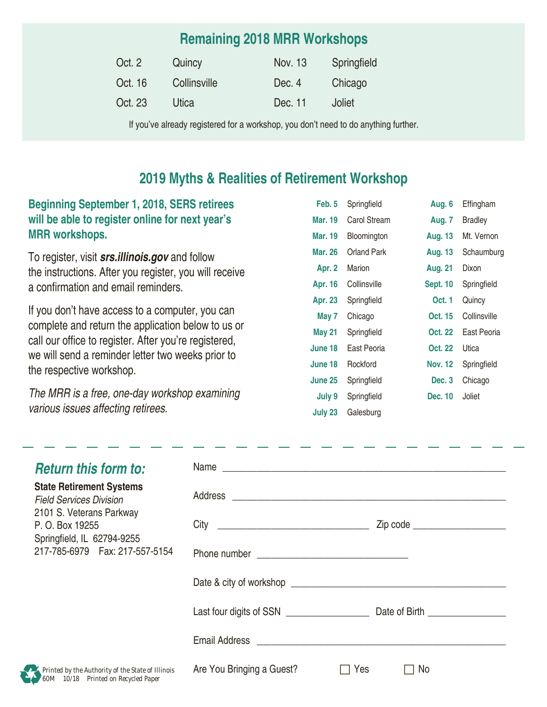## **Remaining 2018 MRR Workshops**

| Oct. 2  | Quincy       | Nov. 13 | Springfield |
|---------|--------------|---------|-------------|
| Oct. 16 | Collinsville | Dec. 4  | Chicago     |
| Oct. 23 | Utica        | Dec. 11 | Joliet      |

If you've already registered for a workshop, you don't need to do anything further.

## **2019 Myths & Realities of Retirement Workshop**

### **Beginning September 1, 2018, SERS retirees will be able to register online for next year's MRR workshops.**

To register, visit *srs.illinois.gov* and follow the instructions. After you register, you will receive a confirmation and email reminders.

If you don't have access to a computer, you can complete and return the application below to us or call our office to register. After you're registered, we will send a reminder letter two weeks prior to the respective workshop.

*The MRR is a free, one-day workshop examining various issues affecting retirees.*

| Feb. 5         | Springfield  | Aug. 6          | Effingham      |
|----------------|--------------|-----------------|----------------|
| Mar. 19        | Carol Stream | Aug. 7          | <b>Bradley</b> |
| <b>Mar. 19</b> | Bloomington  | <b>Aug. 13</b>  | Mt. Vernon     |
| <b>Mar. 26</b> | Orland Park  | Aug. 13         | Schaumburg     |
| Apr. 2         | Marion       | <b>Aug. 21</b>  | Dixon          |
| Apr. 16        | Collinsville | <b>Sept. 10</b> | Springfield    |
| <b>Apr. 23</b> | Springfield  | <b>Oct. 1</b>   | Quincy         |
| May 7          | Chicago      | <b>Oct. 15</b>  | Collinsville   |
| <b>May 21</b>  | Springfield  | Oct. 22         | East Peoria    |
| June 18        | East Peoria  | Oct. 22         | Utica          |
| June 18        | Rockford     | <b>Nov. 12</b>  | Springfield    |
| June 25        | Springfield  | Dec. 3          | Chicago        |
| July 9         | Springfield  | <b>Dec. 10</b>  | Joliet         |
| July 23        | Galesburg    |                 |                |

| <b>Return this form to:</b>                                                              |                           |                                  |  |
|------------------------------------------------------------------------------------------|---------------------------|----------------------------------|--|
| <b>State Retirement Systems</b><br><b>Field Services Division</b>                        |                           |                                  |  |
| 2101 S. Veterans Parkway<br>P. O. Box 19255<br>Springfield, IL 62794-9255                |                           | Zip code _____________________   |  |
| 217-785-6979    Fax: 217-557-5154                                                        |                           |                                  |  |
|                                                                                          |                           |                                  |  |
|                                                                                          | Last four digits of SSN   | Date of Birth <b>Exercise 20</b> |  |
|                                                                                          |                           |                                  |  |
| Printed by the Authority of the State of Illinois<br>60M 10/18 Printed on Recycled Paper | Are You Bringing a Guest? | No<br>Yes                        |  |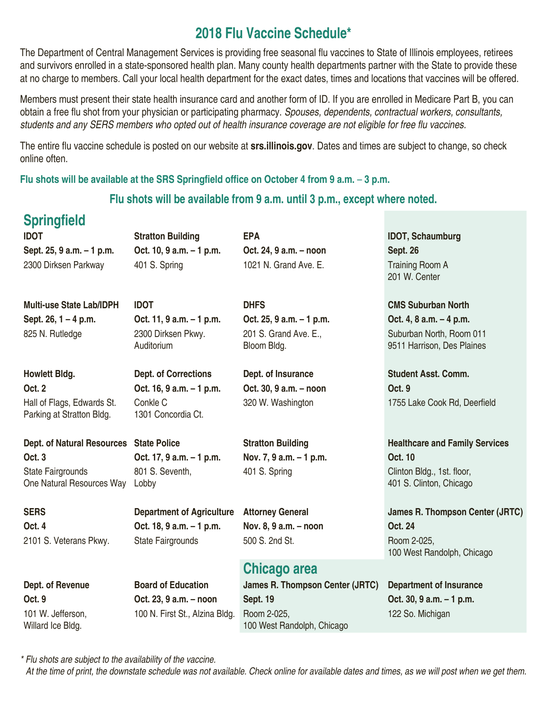## **2018 Flu Vaccine Schedule\***

The Department of Central Management Services is providing free seasonal flu vaccines to State of Illinois employees, retirees and survivors enrolled in a state-sponsored health plan. Many county health departments partner with the State to provide these at no charge to members. Call your local health department for the exact dates, times and locations that vaccines will be offered.

Members must present their state health insurance card and another form of ID. If you are enrolled in Medicare Part B, you can obtain a free flu shot from your physician or participating pharmacy. *Spouses, dependents, contractual workers, consultants,*  students and any SERS members who opted out of health insurance coverage are not eligible for free flu vaccines.

The entire flu vaccine schedule is posted on our website at **srs.illinois.gov**. Dates and times are subject to change, so check online often.

**Flu shots will be available at the SRS Springfield office on October 4 from 9 a.m.** – **3 p.m.** 

#### **Flu shots will be available from 9 a.m. until 3 p.m., except where noted.**

201 S. Grand Ave. E.,

Bloom Bldg.

# **Springfield**

**Sept. 25, 9 a.m. – 1 p.m. Oct. 10, 9 a.m. – 1 p.m. Oct. 24, 9 a.m. – noon Sept. 26** 2300 Dirksen Parkway 401 S. Spring 1021 N. Grand Ave. E. Training Room A

**Multi-use State Lab/IDPH IDOT DHFS CMS Suburban North Sept. 26, 1 – 4 p.m. Oct. 11, 9 a.m. – 1 p.m. Oct. 25, 9 a.m. – 1 p.m. Oct. 4, 8 a.m. – 4 p.m.** 825 N. Rutledge 2300 Dirksen Pkwy.

**Oct. 2 Oct. 16, 9 a.m. – 1 p.m. Oct. 30, 9 a.m. – noon Oct. 9** Hall of Flags, Edwards St. Parking at Stratton Bldg.

State Fairgrounds

Auditorium

**Howlett Bldg. Dept. of Corrections Dept. of Insurance Student Asst. Comm.** Conkle C 1301 Concordia Ct.

**Oct. 3 Oct. 17, 9 a.m. – 1 p.m. Nov. 7, 9 a.m. – 1 p.m. Oct. 10** One Natural Resources Way Lobby 801 S. Seventh,

**Oct. 4 Oct. 18, 9 a.m. – 1 p.m. Nov. 8, 9 a.m. – noon Oct. 24** 2101 S. Veterans Pkwy. State Fairgrounds 500 S. 2nd St. State Room 2-025,

## **Chicago area**

**Dept. of Revenue Board of Education James R. Thompson Center (JRTC) Department of Insurance Oct. 9 Oct. 23, 9 a.m. – noon Sept. 19 Oct. 30, 9 a.m. – 1 p.m.** 100 West Randolph, Chicago

**IDOT Stratton Building EPA IDOT, Schaumburg** 201 W. Center

Suburban North, Room 011 9511 Harrison, Des Plaines

320 W. Washington 1755 Lake Cook Rd, Deerfield

**Dept. of Natural Resources State Police <b>Stratton Building Example 2** Healthcare and Family Services 401 S. Spring Clinton Bldg., 1st. floor, 401 S. Clinton, Chicago

**SERS Department of Agriculture Attorney General James R. Thompson Center (JRTC)** 100 West Randolph, Chicago

122 So. Michigan

# 101 W. Jefferson, Willard Ice Bldg.

100 N. First St., Alzina Bldg. Room 2-025,

*\* Flu shots are subject to the availability of the vaccine.*

*At the time of print, the downstate schedule was not available. Check online for available dates and times, as we will post when we get them.*